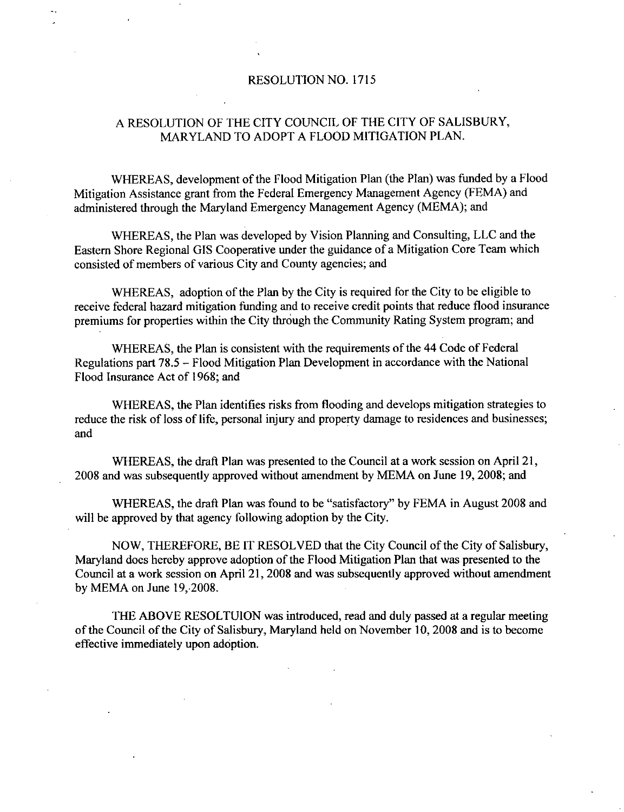## RESOLUTION NO. 1715

## A RESOLUTION OF THE CITY COUNCIL OF THE CITY OF SALISBURY MARYLAND TO ADOPT A FLOOD MITIGATION PLAN

WHEREAS, development of the Flood Mitigation Plan (the Plan) was funded by a Flood Mitigation Assistance grant from the Federal Emergency Management Agency (FEMA) and administered through the Maryland Emergency Management Agency (MEMA); and

WHEREAS, the Plan was developed by Vision Planning and Consulting, LLC and the Eastern Shore Regional GIS Cooperative under the guidance of a Mitigation Core Team which consisted of members of various City and County agencies; and

WHEREAS, adoption of the Plan by the City is required for the City to be eligible to receive federal hazard mitigation funding and to receive credit points that reduce flood insurance premiums for properties within the City through the Community Rating System program; and

WHEREAS, the Plan is consistent with the requirements of the 44 Code of Federal Regulations part  $78.5$  – Flood Mitigation Plan Development in accordance with the National Flood Insurance Act of 1968; and

WHEREAS the Plan identifies risks from flooding and develops mitigation strategies to reduce the risk of loss of life, personal injury and property damage to residences and businesses; and

WHEREAS, the draft Plan was presented to the Council at a work session on April 21, 2008 and was subsequently approved without amendment by MEMA on June 19, 2008; and

WHEREAS, the draft Plan was found to be "satisfactory" by FEMA in August 2008 and will be approved by that agency following adoption by the City.

NOW, THEREFORE, BE IT RESOLVED that the City Council of the City of Salisbury, Maryland does hereby approve adoption of the Flood Mitigation Plan that was presented to the Council at a work session on April 21, 2008 and was subsequently approved without amendment by MEMA on June  $19, 2008$ .

THE ABOVE RESOLTUION was introduced, read and duly passed at a regular meeting of the Council of the City of Salisbury, Maryland held on November 10, 2008 and is to become effective immediately upon adoption